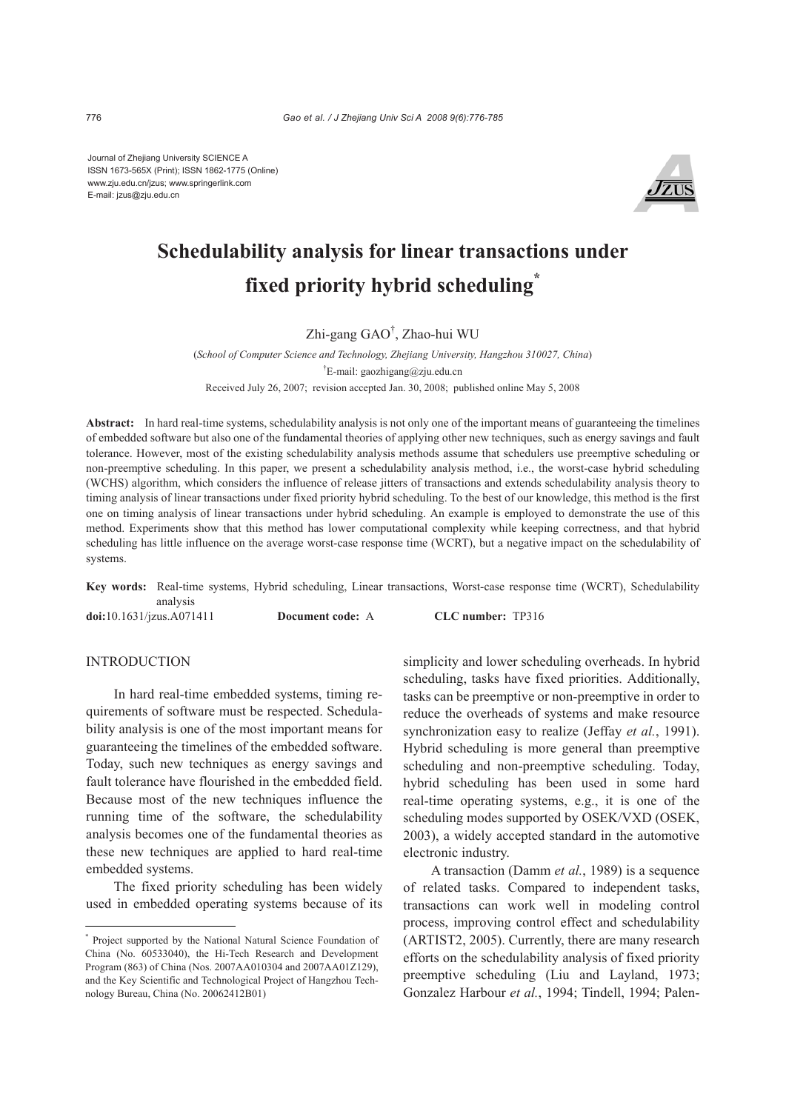Journal of Zhejiang University SCIENCE A ISSN 1673-565X (Print); ISSN 1862-1775 (Online) www.zju.edu.cn/jzus; www.springerlink.com E-mail: jzus@zju.edu.cn



# **Schedulability analysis for linear transactions under fixed priority hybrid scheduling\***

# Zhi-gang GAO† , Zhao-hui WU

(*School of Computer Science and Technology, Zhejiang University, Hangzhou 310027, China*) † E-mail: gaozhigang@zju.edu.cn Received July 26, 2007; revision accepted Jan. 30, 2008; published online May 5, 2008

Abstract: In hard real-time systems, schedulability analysis is not only one of the important means of guaranteeing the timelines of embedded software but also one of the fundamental theories of applying other new techniques, such as energy savings and fault tolerance. However, most of the existing schedulability analysis methods assume that schedulers use preemptive scheduling or non-preemptive scheduling. In this paper, we present a schedulability analysis method, i.e., the worst-case hybrid scheduling (WCHS) algorithm, which considers the influence of release jitters of transactions and extends schedulability analysis theory to timing analysis of linear transactions under fixed priority hybrid scheduling. To the best of our knowledge, this method is the first one on timing analysis of linear transactions under hybrid scheduling. An example is employed to demonstrate the use of this method. Experiments show that this method has lower computational complexity while keeping correctness, and that hybrid scheduling has little influence on the average worst-case response time (WCRT), but a negative impact on the schedulability of systems.

**Key words:** Real-time systems, Hybrid scheduling, Linear transactions, Worst-case response time (WCRT), Schedulability analysis **doi:**10.1631/jzus.A071411 **Document code:** A **CLC number:** TP316

## **INTRODUCTION**

In hard real-time embedded systems, timing requirements of software must be respected. Schedulability analysis is one of the most important means for guaranteeing the timelines of the embedded software. Today, such new techniques as energy savings and fault tolerance have flourished in the embedded field. Because most of the new techniques influence the running time of the software, the schedulability analysis becomes one of the fundamental theories as these new techniques are applied to hard real-time embedded systems.

The fixed priority scheduling has been widely used in embedded operating systems because of its simplicity and lower scheduling overheads. In hybrid scheduling, tasks have fixed priorities. Additionally, tasks can be preemptive or non-preemptive in order to reduce the overheads of systems and make resource synchronization easy to realize (Jeffay *et al.*, 1991). Hybrid scheduling is more general than preemptive scheduling and non-preemptive scheduling. Today, hybrid scheduling has been used in some hard real-time operating systems, e.g., it is one of the scheduling modes supported by OSEK/VXD (OSEK, 2003), a widely accepted standard in the automotive electronic industry.

A transaction (Damm *et al.*, 1989) is a sequence of related tasks. Compared to independent tasks, transactions can work well in modeling control process, improving control effect and schedulability (ARTIST2, 2005). Currently, there are many research efforts on the schedulability analysis of fixed priority preemptive scheduling (Liu and Layland, 1973; Gonzalez Harbour *et al.*, 1994; Tindell, 1994; Palen-

<sup>\*</sup> Project supported by the National Natural Science Foundation of China (No. 60533040), the Hi-Tech Research and Development Program (863) of China (Nos. 2007AA010304 and 2007AA01Z129), and the Key Scientific and Technological Project of Hangzhou Technology Bureau, China (No. 20062412B01)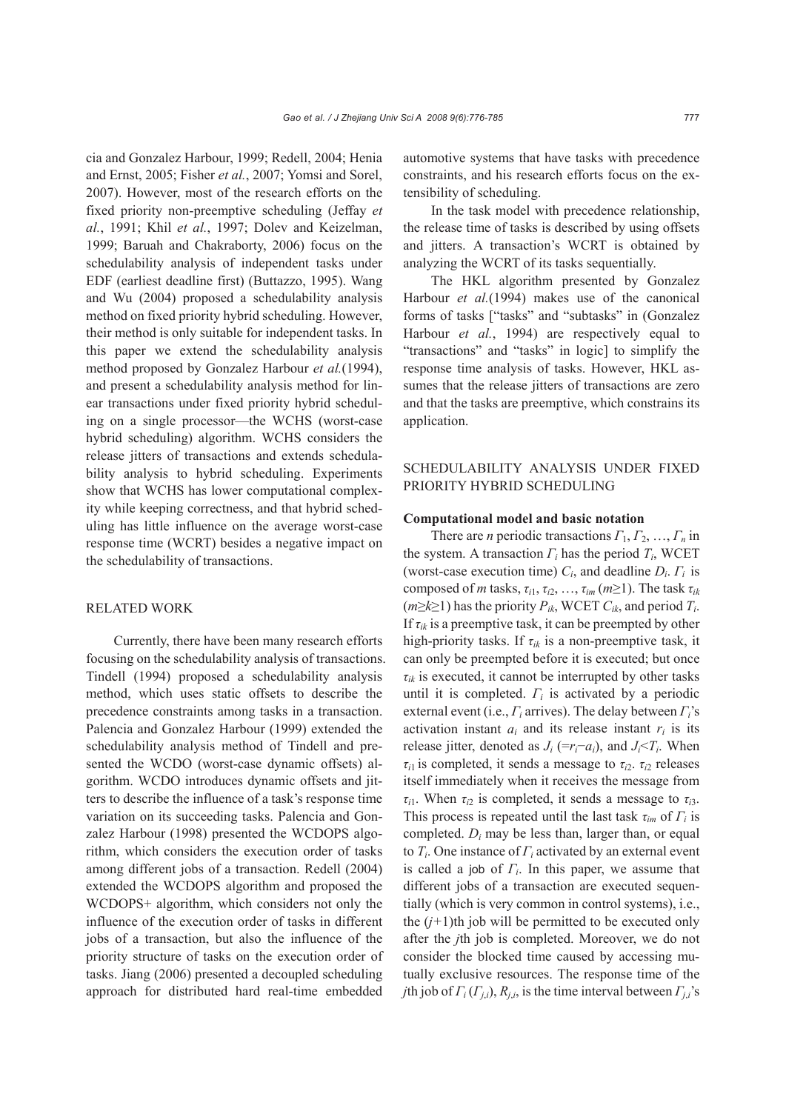cia and Gonzalez Harbour, 1999; Redell, 2004; Henia and Ernst, 2005; Fisher *et al.*, 2007; Yomsi and Sorel, 2007). However, most of the research efforts on the fixed priority non-preemptive scheduling (Jeffay *et al.*, 1991; Khil *et al.*, 1997; Dolev and Keizelman, 1999; Baruah and Chakraborty, 2006) focus on the schedulability analysis of independent tasks under EDF (earliest deadline first) (Buttazzo, 1995). Wang and Wu (2004) proposed a schedulability analysis method on fixed priority hybrid scheduling. However, their method is only suitable for independent tasks. In this paper we extend the schedulability analysis method proposed by Gonzalez Harbour *et al.*(1994), and present a schedulability analysis method for linear transactions under fixed priority hybrid scheduling on a single processor—the WCHS (worst-case hybrid scheduling) algorithm. WCHS considers the release jitters of transactions and extends schedulability analysis to hybrid scheduling. Experiments show that WCHS has lower computational complexity while keeping correctness, and that hybrid scheduling has little influence on the average worst-case response time (WCRT) besides a negative impact on the schedulability of transactions.

#### RELATED WORK

Currently, there have been many research efforts focusing on the schedulability analysis of transactions. Tindell (1994) proposed a schedulability analysis method, which uses static offsets to describe the precedence constraints among tasks in a transaction. Palencia and Gonzalez Harbour (1999) extended the schedulability analysis method of Tindell and presented the WCDO (worst-case dynamic offsets) algorithm. WCDO introduces dynamic offsets and jitters to describe the influence of a task's response time variation on its succeeding tasks. Palencia and Gonzalez Harbour (1998) presented the WCDOPS algorithm, which considers the execution order of tasks among different jobs of a transaction. Redell (2004) extended the WCDOPS algorithm and proposed the WCDOPS+ algorithm, which considers not only the influence of the execution order of tasks in different jobs of a transaction, but also the influence of the priority structure of tasks on the execution order of tasks. Jiang (2006) presented a decoupled scheduling approach for distributed hard real-time embedded

automotive systems that have tasks with precedence constraints, and his research efforts focus on the extensibility of scheduling.

In the task model with precedence relationship, the release time of tasks is described by using offsets and jitters. A transaction's WCRT is obtained by analyzing the WCRT of its tasks sequentially.

The HKL algorithm presented by Gonzalez Harbour *et al.*(1994) makes use of the canonical forms of tasks ["tasks" and "subtasks" in (Gonzalez Harbour *et al.*, 1994) are respectively equal to "transactions" and "tasks" in logic] to simplify the response time analysis of tasks. However, HKL assumes that the release jitters of transactions are zero and that the tasks are preemptive, which constrains its application.

## SCHEDULABILITY ANALYSIS UNDER FIXED PRIORITY HYBRID SCHEDULING

#### **Computational model and basic notation**

There are *n* periodic transactions *Γ*1, *Γ*2, …, *Γn* in the system. A transaction *Γi* has the period *Ti*, WCET (worst-case execution time) *Ci*, and deadline *Di*. *Γi* is composed of *m* tasks,  $\tau_{i1}, \tau_{i2}, \ldots, \tau_{im}$  ( $m \ge 1$ ). The task  $\tau_{ik}$  $(m \ge k \ge 1)$  has the priority  $P_{ik}$ , WCET  $C_{ik}$ , and period  $T_i$ . If  $\tau_{ik}$  is a preemptive task, it can be preempted by other high-priority tasks. If *τik* is a non-preemptive task, it can only be preempted before it is executed; but once  $\tau_{ik}$  is executed, it cannot be interrupted by other tasks until it is completed.  $\Gamma_i$  is activated by a periodic external event (i.e., *Γi* arrives). The delay between *Γi*'s activation instant  $a_i$  and its release instant  $r_i$  is its release jitter, denoted as  $J_i$  (= $r_i$ − $a_i$ ), and  $J_i$ < $T_i$ . When  $\tau_{i1}$  is completed, it sends a message to  $\tau_{i2}$ .  $\tau_{i2}$  releases itself immediately when it receives the message from *τi*1. When *τi*2 is completed, it sends a message to *τi*3. This process is repeated until the last task  $\tau_{im}$  of  $\Gamma_i$  is completed. *Di* may be less than, larger than, or equal to *Ti*. One instance of *Γi* activated by an external event is called a job of *Γi*. In this paper, we assume that different jobs of a transaction are executed sequentially (which is very common in control systems), i.e., the  $(i+1)$ th job will be permitted to be executed only after the *j*th job is completed. Moreover, we do not consider the blocked time caused by accessing mutually exclusive resources. The response time of the *j*th job of  $\Gamma$ <sup>*i*</sup> ( $\Gamma$ <sub>*j*,*i*</sub>),  $R$ <sub>*j*,*i*</sub>, is the time interval between  $\Gamma$ <sup>*i*</sup>,*i*'s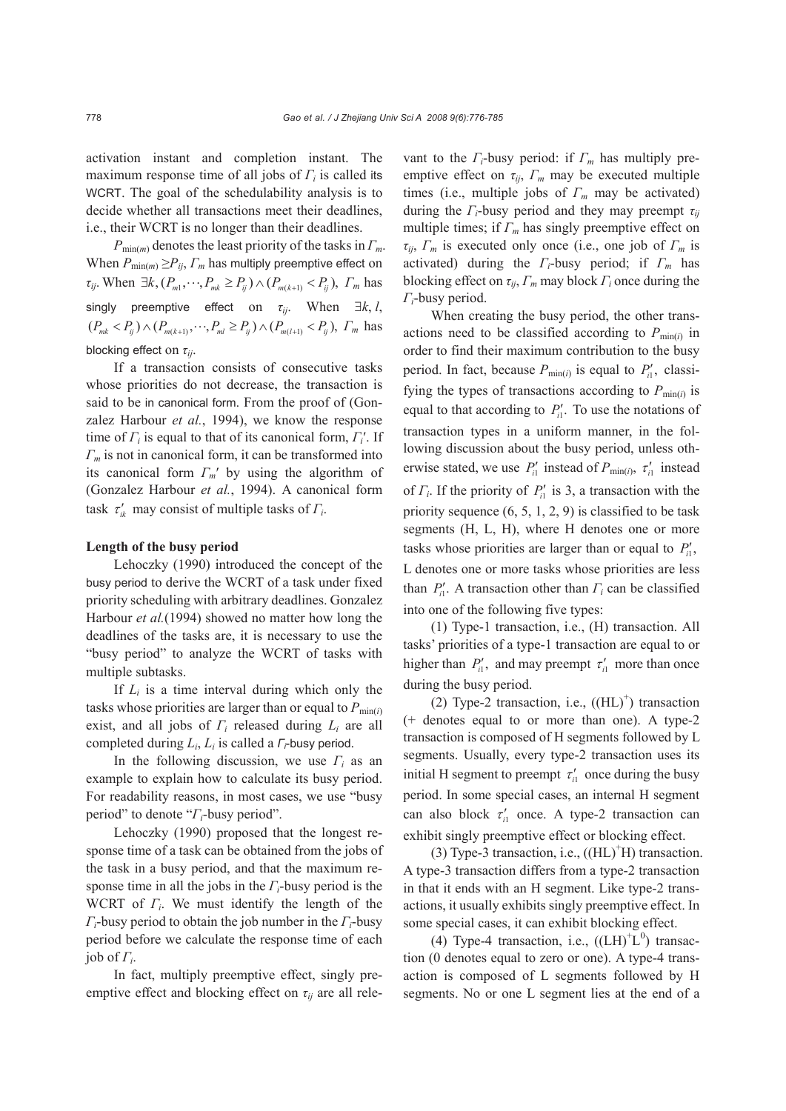activation instant and completion instant. The maximum response time of all jobs of *Γi* is called its WCRT. The goal of the schedulability analysis is to decide whether all transactions meet their deadlines, i.e., their WCRT is no longer than their deadlines.

*P*min(*m*) denotes the least priority of the tasks in *Γm*. When  $P_{\min(m)} \ge P_{ij}$ ,  $\Gamma_m$  has multiply preemptive effect on  $\tau_{ij}$ . When  $\exists k, (P_{m1}, \dots, P_{mk} \ge P_{ij}) \wedge (P_{m(k+1)} < P_{ij})$ ,  $\Gamma_m$  has singly preemptive effect on  $\tau_{ij}$ . When  $\exists k, l$ ,  $(P_{mk} < P_{ij}) \wedge (P_{m(k+1)}, \cdots, P_{ml} \geq P_{ij}) \wedge (P_{m(l+1)} < P_{ij}), \Gamma_m$  has blocking effect on *τij*.

If a transaction consists of consecutive tasks whose priorities do not decrease, the transaction is said to be in canonical form. From the proof of (Gonzalez Harbour *et al.*, 1994), we know the response time of *Γi* is equal to that of its canonical form, *Γi*′. If *Γm* is not in canonical form, it can be transformed into its canonical form *Γm*′ by using the algorithm of (Gonzalez Harbour *et al.*, 1994). A canonical form task  $\tau'_{ik}$  may consist of multiple tasks of  $\Gamma_i$ .

#### **Length of the busy period**

Lehoczky (1990) introduced the concept of the busy period to derive the WCRT of a task under fixed priority scheduling with arbitrary deadlines. Gonzalez Harbour *et al.*(1994) showed no matter how long the deadlines of the tasks are, it is necessary to use the "busy period" to analyze the WCRT of tasks with multiple subtasks.

If *Li* is a time interval during which only the tasks whose priorities are larger than or equal to  $P_{\text{min}(i)}$ exist, and all jobs of *Γi* released during *Li* are all completed during *Li*, *Li* is called a *Γi*-busy period.

In the following discussion, we use *Γi* as an example to explain how to calculate its busy period. For readability reasons, in most cases, we use "busy period" to denote "*Γi*-busy period".

Lehoczky (1990) proposed that the longest response time of a task can be obtained from the jobs of the task in a busy period, and that the maximum response time in all the jobs in the *Γi*-busy period is the WCRT of *Γi*. We must identify the length of the *Γi*-busy period to obtain the job number in the *Γi*-busy period before we calculate the response time of each job of  $\Gamma_i$ .

In fact, multiply preemptive effect, singly preemptive effect and blocking effect on  $\tau_{ij}$  are all relevant to the *Γi*-busy period: if *Γm* has multiply preemptive effect on  $\tau_{ij}$ ,  $\Gamma_m$  may be executed multiple times (i.e., multiple jobs of *Γm* may be activated) during the  $\Gamma_i$ -busy period and they may preempt  $\tau_i$ multiple times; if *Γm* has singly preemptive effect on *τij*, *Γm* is executed only once (i.e., one job of *Γm* is activated) during the *Γi*-busy period; if *Γm* has blocking effect on *τij*, *Γm* may block *Γi* once during the *Γi*-busy period.

When creating the busy period, the other transactions need to be classified according to  $P_{\text{min}(i)}$  in order to find their maximum contribution to the busy period. In fact, because  $P_{\text{min}(i)}$  is equal to  $P'_{i}$ , classifying the types of transactions according to  $P_{\text{min}(i)}$  is equal to that according to  $P'_{i}$ . To use the notations of transaction types in a uniform manner, in the following discussion about the busy period, unless otherwise stated, we use  $P'_{i1}$  instead of  $P_{\min(i)}$ ,  $\tau'_{i1}$  instead of  $\Gamma_i$ . If the priority of  $P'_i$  is 3, a transaction with the priority sequence  $(6, 5, 1, 2, 9)$  is classified to be task segments (H, L, H), where H denotes one or more tasks whose priorities are larger than or equal to  $P'_{i}$ , L denotes one or more tasks whose priorities are less than  $P'_{i}$ . A transaction other than  $\Gamma_i$  can be classified into one of the following five types:

(1) Type-1 transaction, i.e., (H) transaction. All tasks' priorities of a type-1 transaction are equal to or higher than  $P'_{i}$ , and may preempt  $\tau'_{i}$  more than once during the busy period.

(2) Type-2 transaction, i.e.,  $((HL)^+)$  transaction (+ denotes equal to or more than one). A type-2 transaction is composed of H segments followed by L segments. Usually, every type-2 transaction uses its initial H segment to preempt  $\tau'_{i1}$  once during the busy period. In some special cases, an internal H segment can also block  $\tau'_{ii}$  once. A type-2 transaction can exhibit singly preemptive effect or blocking effect.

(3) Type-3 transaction, i.e.,  $((HL)^{+}H)$  transaction. A type-3 transaction differs from a type-2 transaction in that it ends with an H segment. Like type-2 transactions, it usually exhibits singly preemptive effect. In some special cases, it can exhibit blocking effect.

(4) Type-4 transaction, i.e.,  $((LH)^{\dagger}L^0)$  transaction (0 denotes equal to zero or one). A type-4 transaction is composed of L segments followed by H segments. No or one L segment lies at the end of a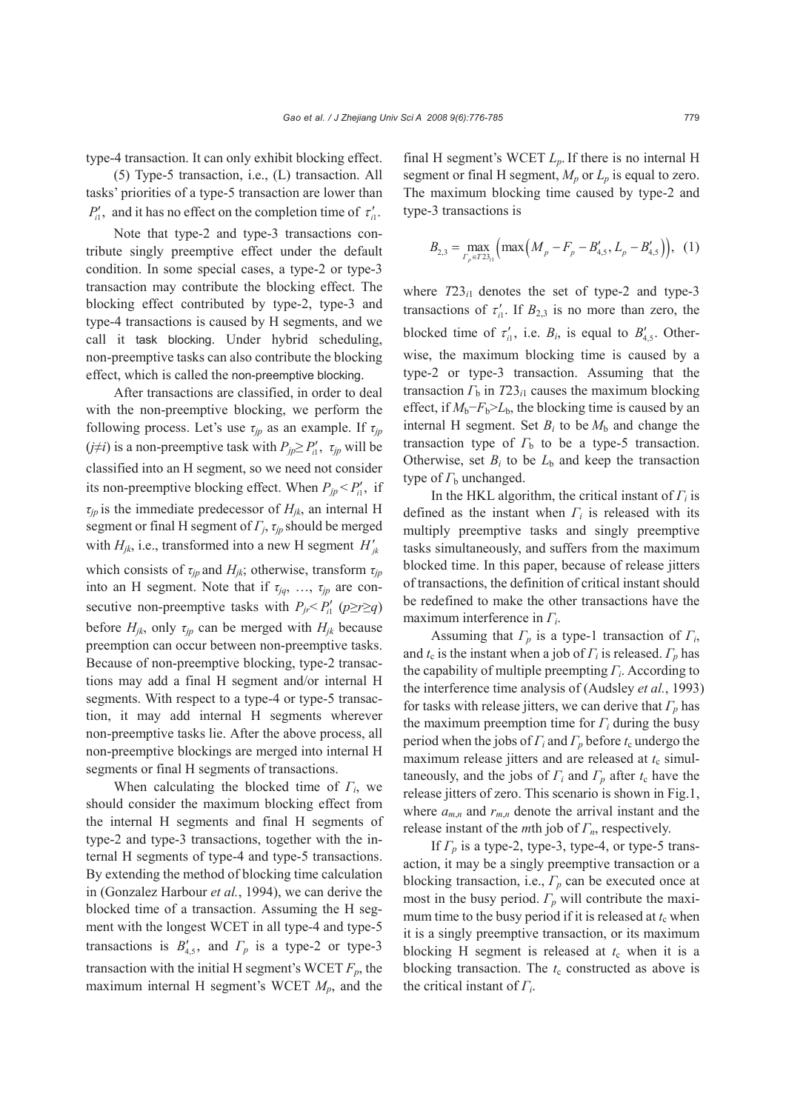type-4 transaction. It can only exhibit blocking effect.

(5) Type-5 transaction, i.e., (L) transaction. All tasks' priorities of a type-5 transaction are lower than  $P'_{i1}$ , and it has no effect on the completion time of  $\tau'_{i1}$ .

Note that type-2 and type-3 transactions contribute singly preemptive effect under the default condition. In some special cases, a type-2 or type-3 transaction may contribute the blocking effect. The blocking effect contributed by type-2, type-3 and type-4 transactions is caused by H segments, and we call it task blocking. Under hybrid scheduling, non-preemptive tasks can also contribute the blocking effect, which is called the non-preemptive blocking.

After transactions are classified, in order to deal with the non-preemptive blocking, we perform the following process. Let's use  $\tau_{ip}$  as an example. If  $\tau_{ip}$  $(j \neq i)$  is a non-preemptive task with  $P_{jp} \geq P'_{i1}$ ,  $\tau_{jp}$  will be classified into an H segment, so we need not consider its non-preemptive blocking effect. When  $P_{jp} < P'_i$ , if  $\tau_{ip}$  is the immediate predecessor of  $H_{jk}$ , an internal H segment or final H segment of  $\Gamma_i$ ,  $\tau_i$  should be merged with  $H_{jk}$ , i.e., transformed into a new H segment  $H'_{jk}$ which consists of *τjp* and *Hjk*; otherwise, transform *τjp* into an H segment. Note that if  $\tau_{jq}$ , ...,  $\tau_{jp}$  are consecutive non-preemptive tasks with  $P_{j} \le P'_{i1}$  ( $p \ge r \ge q$ ) before  $H_{ik}$ , only  $\tau_{ip}$  can be merged with  $H_{ik}$  because preemption can occur between non-preemptive tasks. Because of non-preemptive blocking, type-2 transactions may add a final H segment and/or internal H segments. With respect to a type-4 or type-5 transaction, it may add internal H segments wherever non-preemptive tasks lie. After the above process, all non-preemptive blockings are merged into internal H segments or final H segments of transactions.

When calculating the blocked time of *Γi*, we should consider the maximum blocking effect from the internal H segments and final H segments of type-2 and type-3 transactions, together with the internal H segments of type-4 and type-5 transactions. By extending the method of blocking time calculation in (Gonzalez Harbour *et al.*, 1994), we can derive the blocked time of a transaction. Assuming the H segment with the longest WCET in all type-4 and type-5 transactions is  $B'_{4,5}$ , and  $\Gamma_p$  is a type-2 or type-3 transaction with the initial H segment's WCET  $F_p$ , the maximum internal H segment's WCET *Mp*, and the

final H segment's WCET *Lp*. If there is no internal H segment or final H segment,  $M_p$  or  $L_p$  is equal to zero. The maximum blocking time caused by type-2 and type-3 transactions is

$$
B_{2,3} = \max_{\Gamma_p \in T23_{i1}} \Big( \max \Big( M_p - F_p - B'_{4,5}, L_p - B'_{4,5} \Big) \Big), \tag{1}
$$

where  $T23<sub>i1</sub>$  denotes the set of type-2 and type-3 transactions of  $\tau'_{i}$ . If  $B_{2,3}$  is no more than zero, the blocked time of  $\tau'_{i}$ , i.e.  $B_i$ , is equal to  $B'_{4,5}$ . Otherwise, the maximum blocking time is caused by a type-2 or type-3 transaction. Assuming that the transaction  $\Gamma_{\rm b}$  in  $T23_{i1}$  causes the maximum blocking effect, if  $M_b$ <sup>- $F_b$ > $L_b$ , the blocking time is caused by an</sup> internal H segment. Set  $B_i$  to be  $M_b$  and change the transaction type of  $\Gamma<sub>b</sub>$  to be a type-5 transaction. Otherwise, set  $B_i$  to be  $L_b$  and keep the transaction type of *Γ*b unchanged.

In the HKL algorithm, the critical instant of *Γi* is defined as the instant when *Γi* is released with its multiply preemptive tasks and singly preemptive tasks simultaneously, and suffers from the maximum blocked time. In this paper, because of release jitters of transactions, the definition of critical instant should be redefined to make the other transactions have the maximum interference in *Γi*.

Assuming that *Γp* is a type-1 transaction of *Γi*, and  $t_c$  is the instant when a job of  $\Gamma_i$  is released.  $\Gamma_p$  has the capability of multiple preempting *Γi*. According to the interference time analysis of (Audsley *et al.*, 1993) for tasks with release jitters, we can derive that *Γp* has the maximum preemption time for *Γi* during the busy period when the jobs of *Γi* and *Γp* before *t*c undergo the maximum release jitters and are released at  $t_c$  simultaneously, and the jobs of  $\Gamma_i$  and  $\Gamma_p$  after  $t_c$  have the release jitters of zero. This scenario is shown in Fig.1, where  $a_{m,n}$  and  $r_{m,n}$  denote the arrival instant and the release instant of the *m*th job of *Γn*, respectively.

If *Γp* is a type-2, type-3, type-4, or type-5 transaction, it may be a singly preemptive transaction or a blocking transaction, i.e., *Γp* can be executed once at most in the busy period. *Γp* will contribute the maximum time to the busy period if it is released at  $t_c$  when it is a singly preemptive transaction, or its maximum blocking H segment is released at  $t_c$  when it is a blocking transaction. The  $t_c$  constructed as above is the critical instant of *Γi*.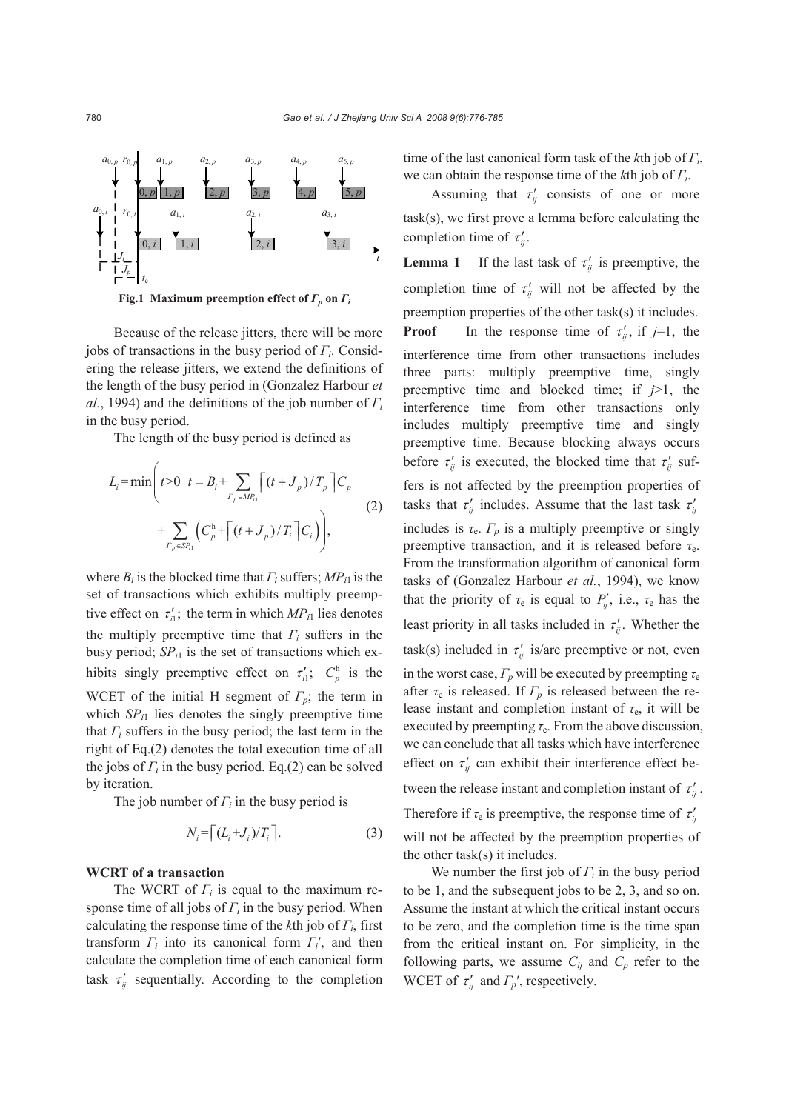

**Fig.1 Maximum preemption effect of**  $\Gamma_p$  **on**  $\Gamma_i$ 

Because of the release jitters, there will be more jobs of transactions in the busy period of *Γi*. Considering the release jitters, we extend the definitions of the length of the busy period in (Gonzalez Harbour *et al.*, 1994) and the definitions of the job number of *Γ<sup>i</sup>* in the busy period.

The length of the busy period is defined as

$$
L_{i} = \min\left(t > 0 \mid t = B_{i} + \sum_{\Gamma_{p} \in MP_{i1}} \left[ (t + J_{p}) / T_{p} \right] C_{p} + \sum_{\Gamma_{p} \in SP_{i1}} \left( C_{p}^{h} + \left[ (t + J_{p}) / T_{i} \right] C_{i} \right) \right),
$$
\n(2)

where  $B_i$  is the blocked time that  $\Gamma_i$  suffers;  $MP_{i1}$  is the set of transactions which exhibits multiply preemptive effect on  $\tau'_{i}$ ; the term in which  $MP_{i1}$  lies denotes the multiply preemptive time that *Γi* suffers in the busy period;  $SP_{i1}$  is the set of transactions which exhibits singly preemptive effect on  $\tau'_{i}$ ;  $C_p^h$  is the WCET of the initial H segment of  $\Gamma_p$ ; the term in which  $SP_{i1}$  lies denotes the singly preemptive time that *Γi* suffers in the busy period; the last term in the right of Eq.(2) denotes the total execution time of all the jobs of  $\Gamma$ <sup>*i*</sup> in the busy period. Eq.(2) can be solved by iteration.

The job number of *Γi* in the busy period is

$$
N_i = \left[ \left( L_i + J_i \right) / T_i \right]. \tag{3}
$$

#### **WCRT of a transaction**

The WCRT of *Γi* is equal to the maximum response time of all jobs of *Γi* in the busy period. When calculating the response time of the *k*th job of *Γi*, first transform  $\Gamma$ <sup>*i*</sup> into its canonical form  $\Gamma$ <sup>*i*</sup>, and then calculate the completion time of each canonical form task  $\tau'_{ii}$  sequentially. According to the completion time of the last canonical form task of the *k*th job of *Γi*, we can obtain the response time of the *k*th job of *Γi*.

Assuming that  $\tau'_{ii}$  consists of one or more task(s), we first prove a lemma before calculating the completion time of  $\tau'_{ii}$ .

**Lemma 1** If the last task of  $\tau'_{ij}$  is preemptive, the completion time of  $\tau'_{ii}$  will not be affected by the preemption properties of the other task(s) it includes. **Proof** In the response time of  $\tau'_{ij}$ , if  $j=1$ , the interference time from other transactions includes three parts: multiply preemptive time, singly preemptive time and blocked time; if *j*>1, the interference time from other transactions only includes multiply preemptive time and singly preemptive time. Because blocking always occurs before  $\tau'_{ij}$  is executed, the blocked time that  $\tau'_{ij}$  suffers is not affected by the preemption properties of tasks that  $\tau'_{ii}$  includes. Assume that the last task  $\tau'_{ii}$ includes is  $\tau_e$ .  $\Gamma_p$  is a multiply preemptive or singly preemptive transaction, and it is released before *τ*e. From the transformation algorithm of canonical form tasks of (Gonzalez Harbour *et al.*, 1994), we know that the priority of  $\tau_e$  is equal to  $P'_i$ , i.e.,  $\tau_e$  has the least priority in all tasks included in  $\tau'_{ii}$ . Whether the task(s) included in  $\tau'_{ij}$  is/are preemptive or not, even in the worst case,  $\Gamma_p$  will be executed by preempting  $\tau_e$ after  $\tau_e$  is released. If  $\Gamma_p$  is released between the release instant and completion instant of  $\tau_e$ , it will be executed by preempting  $\tau_e$ . From the above discussion, we can conclude that all tasks which have interference effect on  $\tau'_{ij}$  can exhibit their interference effect between the release instant and completion instant of  $\tau'_{ij}$ . Therefore if  $\tau_e$  is preemptive, the response time of  $\tau'_{ii}$ will not be affected by the preemption properties of the other task(s) it includes.

We number the first job of *Γi* in the busy period to be 1, and the subsequent jobs to be 2, 3, and so on. Assume the instant at which the critical instant occurs to be zero, and the completion time is the time span from the critical instant on. For simplicity, in the following parts, we assume  $C_{ij}$  and  $C_p$  refer to the WCET of  $\tau'_{ii}$  and  $\Gamma_p'$ , respectively.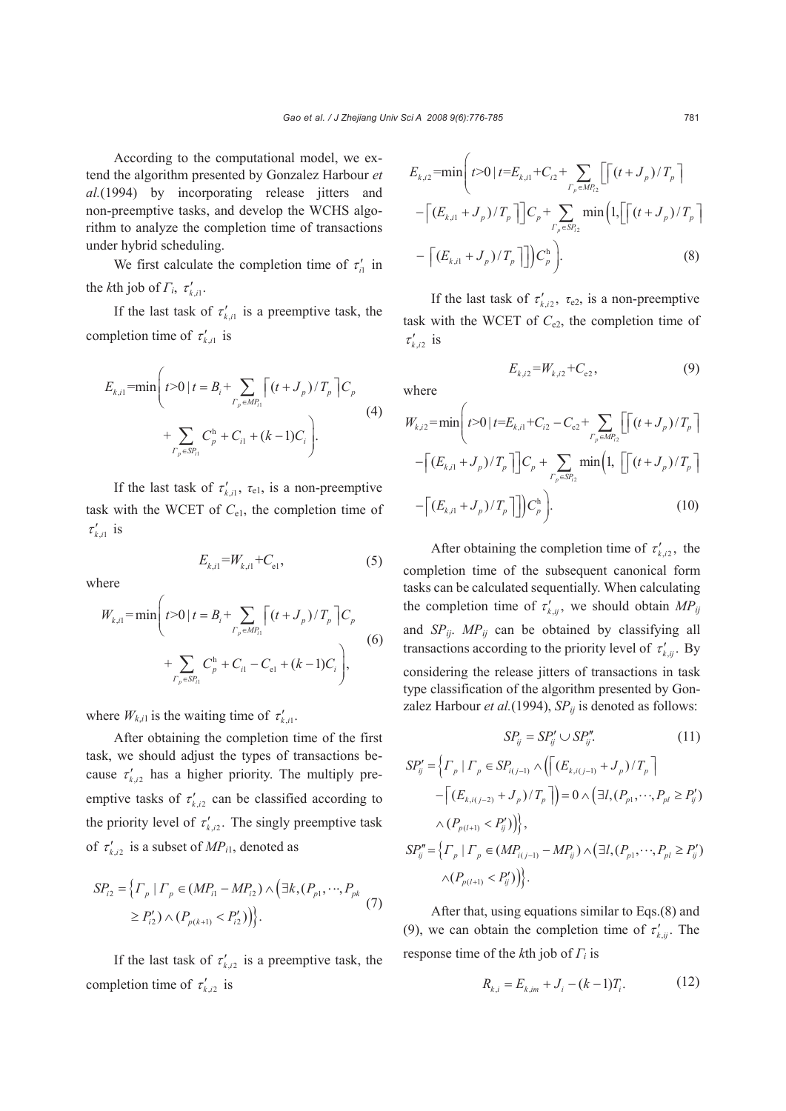According to the computational model, we extend the algorithm presented by Gonzalez Harbour *et al.*(1994) by incorporating release jitters and non-preemptive tasks, and develop the WCHS algorithm to analyze the completion time of transactions under hybrid scheduling.

We first calculate the completion time of  $\tau'_{i1}$  in the *k*th job of  $\Gamma_i$ ,  $\tau'_{k,i}$ .

If the last task of  $\tau'_{k,i}$  is a preemptive task, the completion time of  $\tau'_{k,i}$  is

$$
E_{k,i} = \min\left(t > 0 \mid t = B_i + \sum_{\Gamma_p \in MP_{i1}} \left[ (t + J_p) / T_p \right] C_p + \sum_{\Gamma_p \in SP_{i1}} C_p^{\text{h}} + C_{i1} + (k - 1) C_i \right). \tag{4}
$$

If the last task of  $\tau'_{k,i}$ ,  $\tau_{e1}$ , is a non-preemptive task with the WCET of  $C_{el}$ , the completion time of  $\tau'_{k,i}$  is

$$
E_{k,i} = W_{k,i} + C_{\text{el}},\tag{5}
$$

where

$$
W_{k,i1} = \min\left(t > 0 \mid t = B_i + \sum_{\Gamma_p \in MP_{i1}} \left[ (t + J_p) / T_p \right] C_p + \sum_{\Gamma_p \in SP_{i1}} C_p^{\text{h}} + C_{i1} - C_{\text{el}} + (k - 1) C_i \right),\tag{6}
$$

where  $W_{k,i}$  is the waiting time of  $\tau'_{k,i}$ .

After obtaining the completion time of the first task, we should adjust the types of transactions because  $\tau'_{k,i2}$  has a higher priority. The multiply preemptive tasks of  $\tau'_{k,i2}$  can be classified according to the priority level of  $\tau'_{k,i2}$ . The singly preemptive task of  $\tau'_{k i2}$  is a subset of  $MP_{i1}$ , denoted as

$$
SP_{i2} = \left\{ \Gamma_p \mid \Gamma_p \in (MP_{i1} - MP_{i2}) \land \left( \exists k, (P_{p1}, \cdots, P_{pk} \right) \ge P'_{i2}) \land (P_{p(k+1)} < P'_{i2}) \right\}.
$$
 (7)

If the last task of  $\tau'_{k i2}$  is a preemptive task, the completion time of  $\tau'_{k}$  is

$$
E_{k,i2} = \min\left(t > 0 \mid t = E_{k,i1} + C_{i2} + \sum_{\Gamma_p \in MP_{i2}} \left[ \left[ (t + J_p) / T_p \right] - \left[ (E_{k,i1} + J_p) / T_p \right] \right] C_p + \sum_{\Gamma_p \in SP_{i2}} \min\left(1, \left[ \left[ (t + J_p) / T_p \right] \right] - \left[ (E_{k,i1} + J_p) / T_p \right] \right) C_p^{\text{h}} \right).
$$
\n(8)

If the last task of  $\tau'_{k i2}$ ,  $\tau_{e2}$ , is a non-preemptive task with the WCET of  $C_{e2}$ , the completion time of  $\tau'_{k,i2}$  is

$$
E_{k,i2} = W_{k,i2} + C_{e2},\tag{9}
$$

where

$$
W_{k,i2} = \min\left(t > 0 \mid t = E_{k,i1} + C_{i2} - C_{e2} + \sum_{\Gamma_p \in MP_{i2}} \left[ \left[ (t + J_p) / T_p \right] - \left[ (E_{k,i1} + J_p) / T_p \right] \right] C_p + \sum_{\Gamma_p \in SP_{i2}} \min\left(1, \left[ \left[ (t + J_p) / T_p \right] - \left[ (E_{k,i1} + J_p) / T_p \right] \right] \right) C_p^{\text{h}} \right).
$$
\n(10)

After obtaining the completion time of  $\tau'_{k,i2}$ , the completion time of the subsequent canonical form tasks can be calculated sequentially. When calculating the completion time of  $\tau'_{k, ij}$ , we should obtain  $MP_{ij}$ and  $SP_{ii}$ .  $MP_{ii}$  can be obtained by classifying all transactions according to the priority level of  $\tau'_{kji}$ . By considering the release jitters of transactions in task type classification of the algorithm presented by Gonzalez Harbour *et al.*(1994),  $SP_{ij}$  is denoted as follows:

$$
SP_{ij} = SP'_{ij} \cup SP''_{ij}.
$$
 (11)

$$
SP'_{ij} = \left\{ \Gamma_p \mid \Gamma_p \in SP_{i(j-1)} \land \left( \left[ (E_{k,i(j-1)} + J_p) / T_p \right] - \left[ (E_{k,i(j-2)} + J_p) / T_p \right] \right) \right\}
$$

$$
- \left[ (E_{k,i(j-2)} + J_p) / T_p \right] = 0 \land \left( \exists l, (P_{p1}, \cdots, P_{pl} \ge P'_{ij}) \right)
$$

$$
\land (P_{p(l+1)} < P'_{ij}) \right\},
$$

$$
SP''_{ij} = \left\{ \Gamma_p \mid \Gamma_p \in (MP_{i(j-1)} - MP_{ij}) \land (\exists l, (P_{p1}, \cdots, P_{pl} \ge P'_{ij}) \right)
$$

$$
\land (P_{p(l+1)} < P'_{ij}) \right\}.
$$

After that, using equations similar to Eqs.(8) and (9), we can obtain the completion time of  $\tau'_{kji}$ . The response time of the *k*th job of *Γi* is

$$
R_{k,i} = E_{k,im} + J_i - (k-1)T_i.
$$
 (12)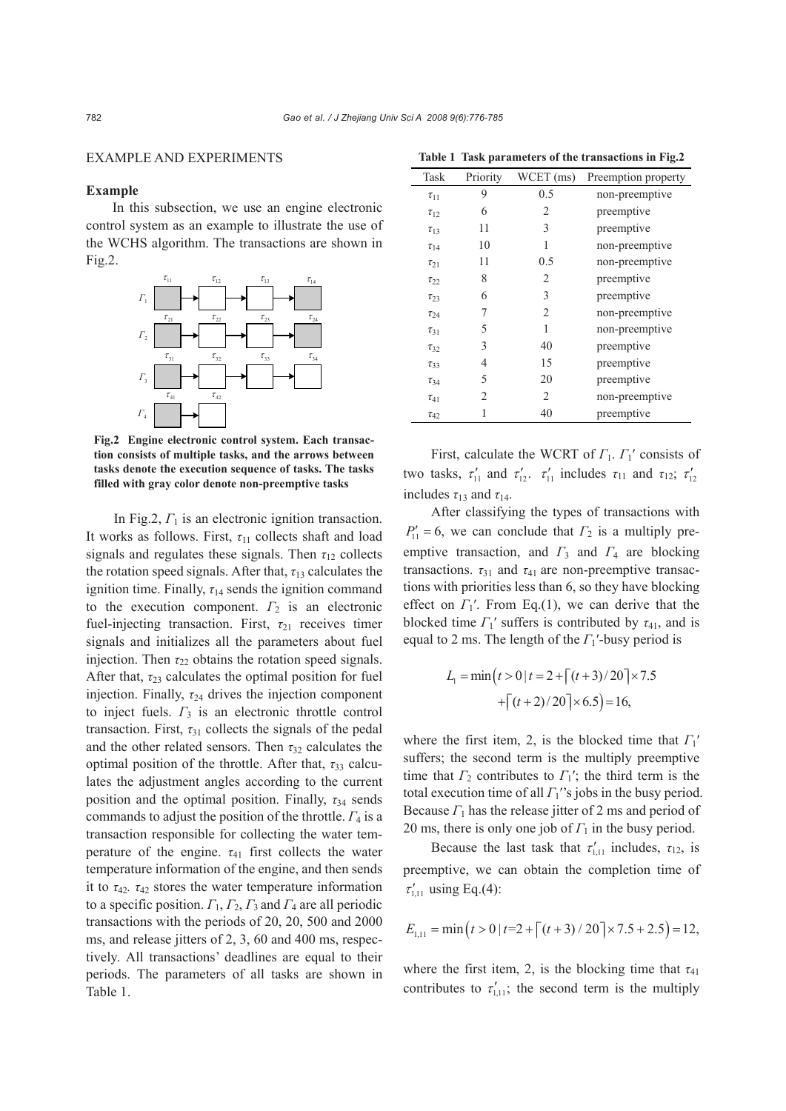#### EXAMPLE AND EXPERIMENTS

#### **Example**

In this subsection, we use an engine electronic control system as an example to illustrate the use of the WCHS algorithm. The transactions are shown in Fig.2.



**Fig.2 Engine electronic control system. Each transaction consists of multiple tasks, and the arrows between tasks denote the execution sequence of tasks. The tasks filled with gray color denote non-preemptive tasks** 

In Fig.2, *Γ*1 is an electronic ignition transaction. It works as follows. First, *τ*11 collects shaft and load signals and regulates these signals. Then  $\tau_{12}$  collects the rotation speed signals. After that,  $\tau_{13}$  calculates the ignition time. Finally,  $\tau_{14}$  sends the ignition command to the execution component. *Γ*2 is an electronic fuel-injecting transaction. First, *τ*<sub>21</sub> receives timer signals and initializes all the parameters about fuel injection. Then  $\tau_{22}$  obtains the rotation speed signals. After that,  $\tau_{23}$  calculates the optimal position for fuel injection. Finally,  $\tau_{24}$  drives the injection component to inject fuels. *Γ*3 is an electronic throttle control transaction. First,  $\tau_{31}$  collects the signals of the pedal and the other related sensors. Then  $\tau_{32}$  calculates the optimal position of the throttle. After that,  $\tau_{33}$  calculates the adjustment angles according to the current position and the optimal position. Finally,  $τ_{34}$  sends commands to adjust the position of the throttle. *Γ*4 is a transaction responsible for collecting the water temperature of the engine.  $\tau_{41}$  first collects the water temperature information of the engine, and then sends it to  $\tau_{42}$ .  $\tau_{42}$  stores the water temperature information to a specific position.  $\Gamma_1$ ,  $\Gamma_2$ ,  $\Gamma_3$  and  $\Gamma_4$  are all periodic transactions with the periods of 20, 20, 500 and 2000 ms, and release jitters of 2, 3, 60 and 400 ms, respectively. All transactions' deadlines are equal to their periods. The parameters of all tasks are shown in Table 1.

| Table 1 Task parameters of the transactions in Fig.2 |          |           |                     |
|------------------------------------------------------|----------|-----------|---------------------|
| Task                                                 | Priority | WCET (ms) | Preemption property |
| $\tau_{11}$                                          | 9        | 0.5       | non-preemptive      |
| $\tau_{12}$                                          | 6        | 2         | preemptive          |
| $\tau_{13}$                                          | 11       | 3         | preemptive          |
| $\tau_{14}$                                          | 10       | 1         | non-preemptive      |
| $\tau_{21}$                                          | 11       | 0.5       | non-preemptive      |
| $\tau_{22}$                                          | 8        | 2         | preemptive          |
| $\tau_{23}$                                          | 6        | 3         | preemptive          |
| $\tau_{24}$                                          | 7        | 2         | non-preemptive      |
| $\tau_{31}$                                          | 5        | 1         | non-preemptive      |
| $\tau_{32}$                                          | 3        | 40        | preemptive          |
| $\tau_{33}$                                          | 4        | 15        | preemptive          |
| $\tau_{34}$                                          | 5        | 20        | preemptive          |
| $\tau_{41}$                                          | 2        | 2         | non-preemptive      |
| $\tau_{42}$                                          | 1        | 40        | preemptive          |

First, calculate the WCRT of *Γ*1. *Γ*1′ consists of two tasks,  $\tau'_{11}$  and  $\tau'_{12}$ .  $\tau'_{11}$  includes  $\tau_{11}$  and  $\tau_{12}$ ;  $\tau'_{12}$ includes  $\tau_{13}$  and  $\tau_{14}$ .

After classifying the types of transactions with  $P'_{11} = 6$ , we can conclude that  $\Gamma_2$  is a multiply preemptive transaction, and *Γ*3 and *Γ*4 are blocking transactions.  $\tau_{31}$  and  $\tau_{41}$  are non-preemptive transactions with priorities less than 6, so they have blocking effect on *Γ*1′. From Eq.(1), we can derive that the blocked time  $\Gamma_1'$  suffers is contributed by  $\tau_{41}$ , and is equal to 2 ms. The length of the *Γ*1′-busy period is

$$
L_1 = \min\left(t > 0 \mid t = 2 + \lceil (t + 3) / 20 \rceil \times 7.5 + \lceil (t + 2) / 20 \rceil \times 6.5\right) = 16,
$$

where the first item, 2, is the blocked time that *Γ*1′ suffers; the second term is the multiply preemptive time that  $\Gamma_2$  contributes to  $\Gamma_1$ '; the third term is the total execution time of all *Γ*1′'s jobs in the busy period. Because *Γ*1 has the release jitter of 2 ms and period of 20 ms, there is only one job of *Γ*1 in the busy period.

Because the last task that  $\tau'_{111}$  includes,  $\tau_{12}$ , is preemptive, we can obtain the completion time of  $\tau'_{1,11}$  using Eq.(4):

$$
E_{1,11} = \min\left(t > 0 \mid t = 2 + \lceil (t+3)/20 \rceil \times 7.5 + 2.5\right) = 12,
$$

where the first item, 2, is the blocking time that  $\tau_{41}$ contributes to  $\tau'_{111}$ ; the second term is the multiply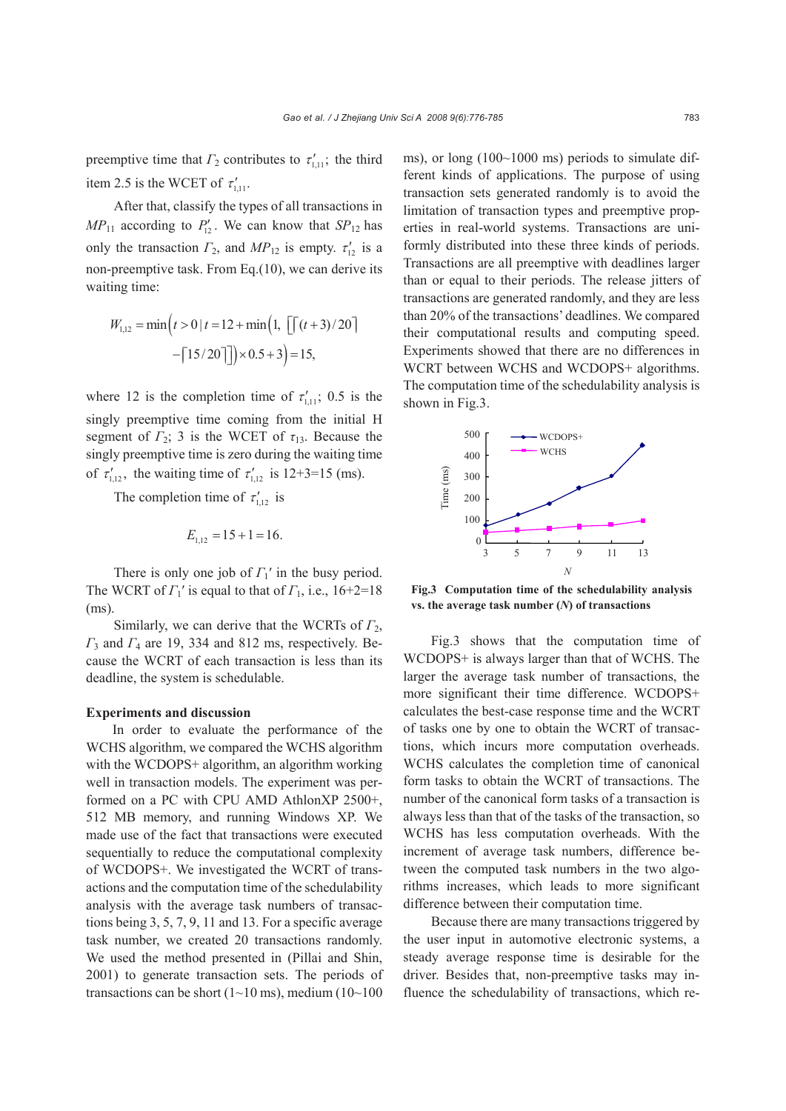preemptive time that  $\Gamma_2$  contributes to  $\tau'_{1,11}$ ; the third item 2.5 is the WCET of  $\tau'_{111}$ .

After that, classify the types of all transactions in  $MP_{11}$  according to  $P'_{12}$ . We can know that  $SP_{12}$  has only the transaction  $\Gamma_2$ , and  $MP_{12}$  is empty.  $\tau'_{12}$  is a non-preemptive task. From Eq.(10), we can derive its waiting time:

$$
W_{1,12} = \min\left(t > 0 \mid t = 12 + \min\left(1, \left[\lceil (t+3)/20 \rceil - \lceil 15/20 \rceil\right] \right) \times 0.5 + 3\right) = 15,
$$

where 12 is the completion time of  $\tau'_{111}$ , 0.5 is the singly preemptive time coming from the initial H segment of  $\Gamma_2$ ; 3 is the WCET of  $\tau_{13}$ . Because the singly preemptive time is zero during the waiting time of  $\tau'_{1,12}$ , the waiting time of  $\tau'_{1,12}$  is 12+3=15 (ms).

The completion time of  $\tau'_{112}$  is

$$
E_{1,12} = 15 + 1 = 16.
$$

There is only one job of *Γ*1′ in the busy period. The WCRT of *Γ*1′ is equal to that of *Γ*1, i.e., 16+2=18 (ms).

Similarly, we can derive that the WCRTs of *Γ*2, *Γ*3 and *Γ*4 are 19, 334 and 812 ms, respectively. Because the WCRT of each transaction is less than its deadline, the system is schedulable.

### **Experiments and discussion**

In order to evaluate the performance of the WCHS algorithm, we compared the WCHS algorithm with the WCDOPS+ algorithm, an algorithm working well in transaction models. The experiment was performed on a PC with CPU AMD AthlonXP 2500+, 512 MB memory, and running Windows XP. We made use of the fact that transactions were executed sequentially to reduce the computational complexity of WCDOPS+. We investigated the WCRT of transactions and the computation time of the schedulability analysis with the average task numbers of transactions being 3, 5, 7, 9, 11 and 13. For a specific average task number, we created 20 transactions randomly. We used the method presented in (Pillai and Shin, 2001) to generate transaction sets. The periods of transactions can be short  $(1~10~\text{ms})$ , medium  $(10~100~$ 

ms), or long (100~1000 ms) periods to simulate different kinds of applications. The purpose of using transaction sets generated randomly is to avoid the limitation of transaction types and preemptive properties in real-world systems. Transactions are uniformly distributed into these three kinds of periods. Transactions are all preemptive with deadlines larger than or equal to their periods. The release jitters of transactions are generated randomly, and they are less than 20% of the transactions' deadlines. We compared their computational results and computing speed. Experiments showed that there are no differences in WCRT between WCHS and WCDOPS+ algorithms. The computation time of the schedulability analysis is shown in Fig.3.



**Fig.3 Computation time of the schedulability analysis**

Fig.3 shows that the computation time of WCDOPS+ is always larger than that of WCHS. The larger the average task number of transactions, the more significant their time difference. WCDOPS+ calculates the best-case response time and the WCRT of tasks one by one to obtain the WCRT of transactions, which incurs more computation overheads. WCHS calculates the completion time of canonical form tasks to obtain the WCRT of transactions. The number of the canonical form tasks of a transaction is always less than that of the tasks of the transaction, so WCHS has less computation overheads. With the increment of average task numbers, difference between the computed task numbers in the two algorithms increases, which leads to more significant difference between their computation time.

Because there are many transactions triggered by the user input in automotive electronic systems, a steady average response time is desirable for the driver. Besides that, non-preemptive tasks may influence the schedulability of transactions, which re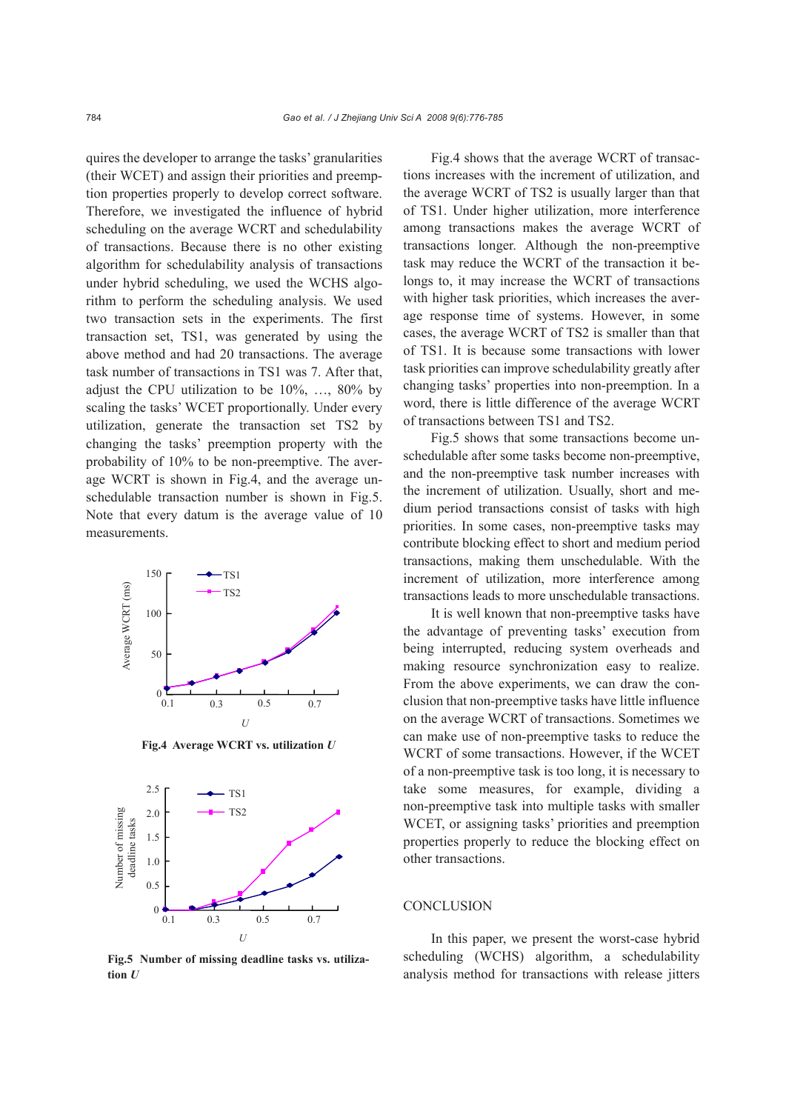quires the developer to arrange the tasks' granularities (their WCET) and assign their priorities and preemption properties properly to develop correct software. Therefore, we investigated the influence of hybrid scheduling on the average WCRT and schedulability of transactions. Because there is no other existing algorithm for schedulability analysis of transactions under hybrid scheduling, we used the WCHS algorithm to perform the scheduling analysis. We used two transaction sets in the experiments. The first transaction set, TS1, was generated by using the above method and had 20 transactions. The average task number of transactions in TS1 was 7. After that, adjust the CPU utilization to be 10%, …, 80% by scaling the tasks' WCET proportionally. Under every utilization, generate the transaction set TS2 by changing the tasks' preemption property with the probability of 10% to be non-preemptive. The average WCRT is shown in Fig.4, and the average unschedulable transaction number is shown in Fig.5. Note that every datum is the average value of 10 measurements.



**Fig.4 Average WCRT vs. utilization** *U*



**Fig.5 Number of missing deadline tasks vs. utiliza**tion  $U$ 

Fig.4 shows that the average WCRT of transactions increases with the increment of utilization, and the average WCRT of TS2 is usually larger than that of TS1. Under higher utilization, more interference among transactions makes the average WCRT of transactions longer. Although the non-preemptive task may reduce the WCRT of the transaction it belongs to, it may increase the WCRT of transactions with higher task priorities, which increases the average response time of systems. However, in some cases, the average WCRT of TS2 is smaller than that of TS1. It is because some transactions with lower task priorities can improve schedulability greatly after changing tasks' properties into non-preemption. In a word, there is little difference of the average WCRT of transactions between TS1 and TS2.

Fig.5 shows that some transactions become unschedulable after some tasks become non-preemptive, and the non-preemptive task number increases with the increment of utilization. Usually, short and medium period transactions consist of tasks with high priorities. In some cases, non-preemptive tasks may contribute blocking effect to short and medium period transactions, making them unschedulable. With the increment of utilization, more interference among transactions leads to more unschedulable transactions.

It is well known that non-preemptive tasks have the advantage of preventing tasks' execution from being interrupted, reducing system overheads and making resource synchronization easy to realize. From the above experiments, we can draw the conclusion that non-preemptive tasks have little influence on the average WCRT of transactions. Sometimes we can make use of non-preemptive tasks to reduce the WCRT of some transactions. However, if the WCET of a non-preemptive task is too long, it is necessary to take some measures, for example, dividing a non-preemptive task into multiple tasks with smaller WCET, or assigning tasks' priorities and preemption properties properly to reduce the blocking effect on other transactions.

#### **CONCLUSION**

In this paper, we present the worst-case hybrid scheduling (WCHS) algorithm, a schedulability analysis method for transactions with release jitters